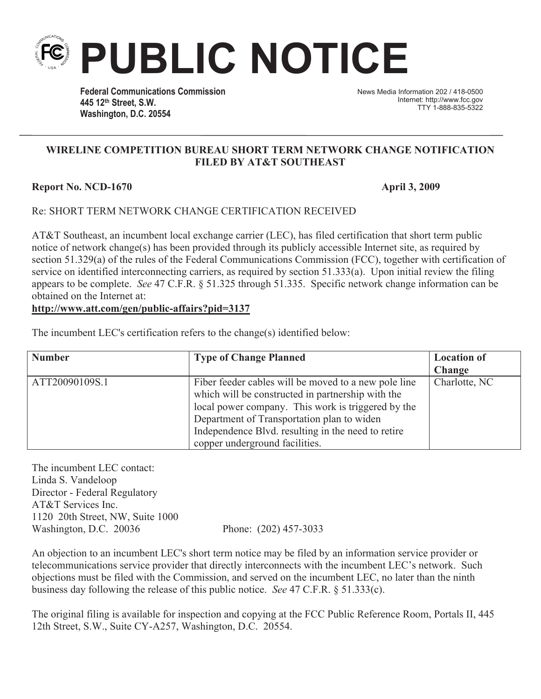

**Federal Communications Commission 445 12th Street, S.W. Washington, D.C. 20554**

News Media Information 202 / 418-0500 Internet: http://www.fcc.gov TTY 1-888-835-5322

## **WIRELINE COMPETITION BUREAU SHORT TERM NETWORK CHANGE NOTIFICATION FILED BY AT&T SOUTHEAST**

## **Report No. NCD-1670 April 3, 2009**

## Re: SHORT TERM NETWORK CHANGE CERTIFICATION RECEIVED

AT&T Southeast, an incumbent local exchange carrier (LEC), has filed certification that short term public notice of network change(s) has been provided through its publicly accessible Internet site, as required by section 51.329(a) of the rules of the Federal Communications Commission (FCC), together with certification of service on identified interconnecting carriers, as required by section 51.333(a). Upon initial review the filing appears to be complete. *See* 47 C.F.R. § 51.325 through 51.335. Specific network change information can be obtained on the Internet at:

## **http://www.att.com/gen/public-affairs?pid=3137**

|  |  |  | The incumbent LEC's certification refers to the change(s) identified below: |  |
|--|--|--|-----------------------------------------------------------------------------|--|
|  |  |  |                                                                             |  |

| <b>Number</b>  | <b>Type of Change Planned</b>                        | <b>Location of</b> |
|----------------|------------------------------------------------------|--------------------|
|                |                                                      | <b>Change</b>      |
| ATT20090109S.1 | Fiber feeder cables will be moved to a new pole line | Charlotte, NC      |
|                | which will be constructed in partnership with the    |                    |
|                | local power company. This work is triggered by the   |                    |
|                | Department of Transportation plan to widen           |                    |
|                | Independence Blvd. resulting in the need to retire   |                    |
|                | copper underground facilities.                       |                    |

The incumbent LEC contact: Linda S. Vandeloop Director - Federal Regulatory AT&T Services Inc. 1120 20th Street, NW, Suite 1000 Washington, D.C. 20036 Phone: (202) 457-3033

An objection to an incumbent LEC's short term notice may be filed by an information service provider or telecommunications service provider that directly interconnects with the incumbent LEC's network. Such objections must be filed with the Commission, and served on the incumbent LEC, no later than the ninth business day following the release of this public notice. *See* 47 C.F.R. § 51.333(c).

The original filing is available for inspection and copying at the FCC Public Reference Room, Portals II, 445 12th Street, S.W., Suite CY-A257, Washington, D.C. 20554.